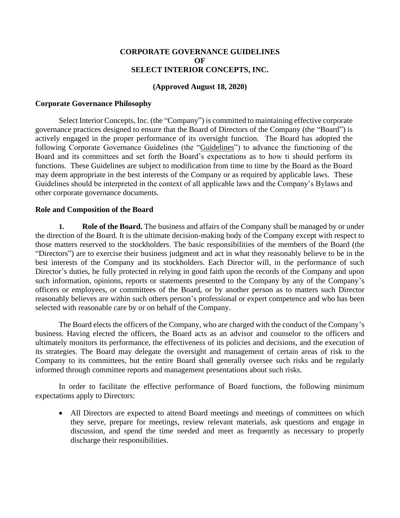### **CORPORATE GOVERNANCE GUIDELINES OF SELECT INTERIOR CONCEPTS, INC.**

### **(Approved August 18, 2020)**

#### **Corporate Governance Philosophy**

Select Interior Concepts, Inc. (the "Company") is committed to maintaining effective corporate governance practices designed to ensure that the Board of Directors of the Company (the "Board") is actively engaged in the proper performance of its oversight function. The Board has adopted the following Corporate Governance Guidelines (the "Guidelines") to advance the functioning of the Board and its committees and set forth the Board's expectations as to how ti should perform its functions. These Guidelines are subject to modification from time to time by the Board as the Board may deem appropriate in the best interests of the Company or as required by applicable laws. These Guidelines should be interpreted in the context of all applicable laws and the Company's Bylaws and other corporate governance documents.

#### **Role and Composition of the Board**

**1. Role of the Board.** The business and affairs of the Company shall be managed by or under the direction of the Board. It is the ultimate decision-making body of the Company except with respect to those matters reserved to the stockholders. The basic responsibilities of the members of the Board (the "Directors") are to exercise their business judgment and act in what they reasonably believe to be in the best interests of the Company and its stockholders. Each Director will, in the performance of such Director's duties, be fully protected in relying in good faith upon the records of the Company and upon such information, opinions, reports or statements presented to the Company by any of the Company's officers or employees, or committees of the Board, or by another person as to matters such Director reasonably believes are within such others person's professional or expert competence and who has been selected with reasonable care by or on behalf of the Company.

The Board elects the officers of the Company, who are charged with the conduct of the Company's business. Having elected the officers, the Board acts as an advisor and counselor to the officers and ultimately monitors its performance, the effectiveness of its policies and decisions, and the execution of its strategies. The Board may delegate the oversight and management of certain areas of risk to the Company to its committees, but the entire Board shall generally oversee such risks and be regularly informed through committee reports and management presentations about such risks.

In order to facilitate the effective performance of Board functions, the following minimum expectations apply to Directors:

• All Directors are expected to attend Board meetings and meetings of committees on which they serve, prepare for meetings, review relevant materials, ask questions and engage in discussion, and spend the time needed and meet as frequently as necessary to properly discharge their responsibilities.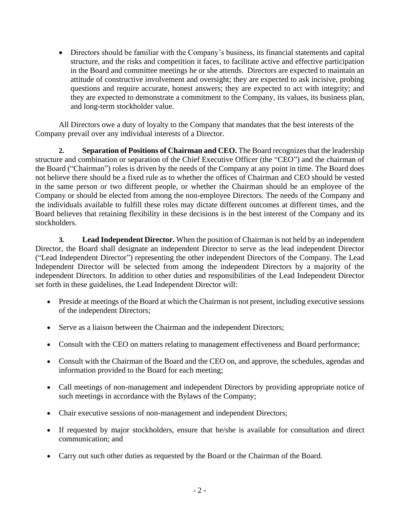• Directors should be familiar with the Company's business, its financial statements and capital structure, and the risks and competition it faces, to facilitate active and effective participation in the Board and committee meetings he or she attends. Directors are expected to maintain an attitude of constructive involvement and oversight; they are expected to ask incisive, probing questions and require accurate, honest answers; they are expected to act with integrity; and they are expected to demonstrate a commitment to the Company, its values, its business plan, and long-term stockholder value.

All Directors owe a duty of loyalty to the Company that mandates that the best interests of the Company prevail over any individual interests of a Director.

**2. Separation of Positions of Chairman and CEO.** The Board recognizes that the leadership structure and combination or separation of the Chief Executive Officer (the "CEO") and the chairman of the Board ("Chairman") roles is driven by the needs of the Company at any point in time. The Board does not believe there should be a fixed rule as to whether the offices of Chairman and CEO should be vested in the same person or two different people, or whether the Chairman should be an employee of the Company or should be elected from among the non-employee Directors. The needs of the Company and the individuals available to fulfill these roles may dictate different outcomes at different times, and the Board believes that retaining flexibility in these decisions is in the best interest of the Company and its stockholders.

**3. Lead Independent Director.** When the position of Chairman is not held by an independent Director, the Board shall designate an independent Director to serve as the lead independent Director ("Lead Independent Director") representing the other independent Directors of the Company. The Lead Independent Director will be selected from among the independent Directors by a majority of the independent Directors. In addition to other duties and responsibilities of the Lead Independent Director set forth in these guidelines, the Lead Independent Director will:

- Preside at meetings of the Board at which the Chairman is not present, including executive sessions of the independent Directors;
- Serve as a liaison between the Chairman and the independent Directors;
- Consult with the CEO on matters relating to management effectiveness and Board performance;
- Consult with the Chairman of the Board and the CEO on, and approve, the schedules, agendas and information provided to the Board for each meeting;
- Call meetings of non-management and independent Directors by providing appropriate notice of such meetings in accordance with the Bylaws of the Company;
- Chair executive sessions of non-management and independent Directors;
- If requested by major stockholders, ensure that he/she is available for consultation and direct communication; and
- Carry out such other duties as requested by the Board or the Chairman of the Board.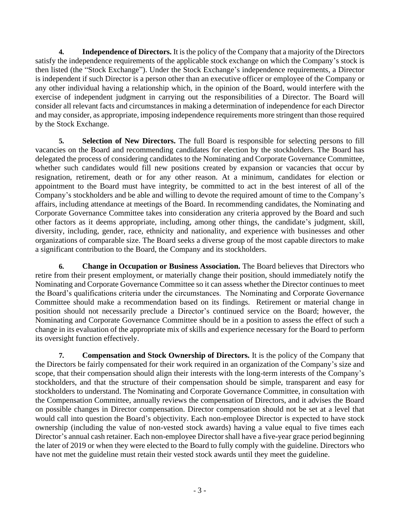**4. Independence of Directors.** It is the policy of the Company that a majority of the Directors satisfy the independence requirements of the applicable stock exchange on which the Company's stock is then listed (the "Stock Exchange"). Under the Stock Exchange's independence requirements, a Director is independent if such Director is a person other than an executive officer or employee of the Company or any other individual having a relationship which, in the opinion of the Board, would interfere with the exercise of independent judgment in carrying out the responsibilities of a Director. The Board will consider all relevant facts and circumstances in making a determination of independence for each Director and may consider, as appropriate, imposing independence requirements more stringent than those required by the Stock Exchange.

**5. Selection of New Directors.** The full Board is responsible for selecting persons to fill vacancies on the Board and recommending candidates for election by the stockholders. The Board has delegated the process of considering candidates to the Nominating and Corporate Governance Committee, whether such candidates would fill new positions created by expansion or vacancies that occur by resignation, retirement, death or for any other reason. At a minimum, candidates for election or appointment to the Board must have integrity, be committed to act in the best interest of all of the Company's stockholders and be able and willing to devote the required amount of time to the Company's affairs, including attendance at meetings of the Board. In recommending candidates, the Nominating and Corporate Governance Committee takes into consideration any criteria approved by the Board and such other factors as it deems appropriate, including, among other things, the candidate's judgment, skill, diversity, including, gender, race, ethnicity and nationality, and experience with businesses and other organizations of comparable size. The Board seeks a diverse group of the most capable directors to make a significant contribution to the Board, the Company and its stockholders.

**6. Change in Occupation or Business Association.** The Board believes that Directors who retire from their present employment, or materially change their position, should immediately notify the Nominating and Corporate Governance Committee so it can assess whether the Director continues to meet the Board's qualifications criteria under the circumstances. The Nominating and Corporate Governance Committee should make a recommendation based on its findings. Retirement or material change in position should not necessarily preclude a Director's continued service on the Board; however, the Nominating and Corporate Governance Committee should be in a position to assess the effect of such a change in its evaluation of the appropriate mix of skills and experience necessary for the Board to perform its oversight function effectively.

**7. Compensation and Stock Ownership of Directors.** It is the policy of the Company that the Directors be fairly compensated for their work required in an organization of the Company's size and scope, that their compensation should align their interests with the long-term interests of the Company's stockholders, and that the structure of their compensation should be simple, transparent and easy for stockholders to understand. The Nominating and Corporate Governance Committee, in consultation with the Compensation Committee, annually reviews the compensation of Directors, and it advises the Board on possible changes in Director compensation. Director compensation should not be set at a level that would call into question the Board's objectivity. Each non-employee Director is expected to have stock ownership (including the value of non-vested stock awards) having a value equal to five times each Director's annual cash retainer. Each non-employee Director shall have a five-year grace period beginning the later of 2019 or when they were elected to the Board to fully comply with the guideline. Directors who have not met the guideline must retain their vested stock awards until they meet the guideline.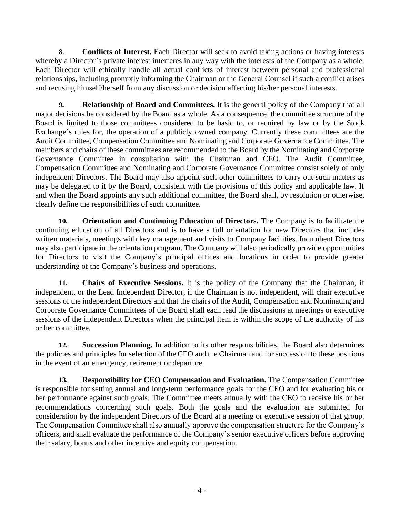**8. Conflicts of Interest.** Each Director will seek to avoid taking actions or having interests whereby a Director's private interest interferes in any way with the interests of the Company as a whole. Each Director will ethically handle all actual conflicts of interest between personal and professional relationships, including promptly informing the Chairman or the General Counsel if such a conflict arises and recusing himself/herself from any discussion or decision affecting his/her personal interests.

**9. Relationship of Board and Committees.** It is the general policy of the Company that all major decisions be considered by the Board as a whole. As a consequence, the committee structure of the Board is limited to those committees considered to be basic to, or required by law or by the Stock Exchange's rules for, the operation of a publicly owned company. Currently these committees are the Audit Committee, Compensation Committee and Nominating and Corporate Governance Committee. The members and chairs of these committees are recommended to the Board by the Nominating and Corporate Governance Committee in consultation with the Chairman and CEO. The Audit Committee, Compensation Committee and Nominating and Corporate Governance Committee consist solely of only independent Directors. The Board may also appoint such other committees to carry out such matters as may be delegated to it by the Board, consistent with the provisions of this policy and applicable law. If and when the Board appoints any such additional committee, the Board shall, by resolution or otherwise, clearly define the responsibilities of such committee.

**10. Orientation and Continuing Education of Directors.** The Company is to facilitate the continuing education of all Directors and is to have a full orientation for new Directors that includes written materials, meetings with key management and visits to Company facilities. Incumbent Directors may also participate in the orientation program. The Company will also periodically provide opportunities for Directors to visit the Company's principal offices and locations in order to provide greater understanding of the Company's business and operations.

**11. Chairs of Executive Sessions.** It is the policy of the Company that the Chairman, if independent, or the Lead Independent Director, if the Chairman is not independent, will chair executive sessions of the independent Directors and that the chairs of the Audit, Compensation and Nominating and Corporate Governance Committees of the Board shall each lead the discussions at meetings or executive sessions of the independent Directors when the principal item is within the scope of the authority of his or her committee.

**12. Succession Planning.** In addition to its other responsibilities, the Board also determines the policies and principles for selection of the CEO and the Chairman and for succession to these positions in the event of an emergency, retirement or departure.

**13. Responsibility for CEO Compensation and Evaluation.** The Compensation Committee is responsible for setting annual and long-term performance goals for the CEO and for evaluating his or her performance against such goals. The Committee meets annually with the CEO to receive his or her recommendations concerning such goals. Both the goals and the evaluation are submitted for consideration by the independent Directors of the Board at a meeting or executive session of that group. The Compensation Committee shall also annually approve the compensation structure for the Company's officers, and shall evaluate the performance of the Company's senior executive officers before approving their salary, bonus and other incentive and equity compensation.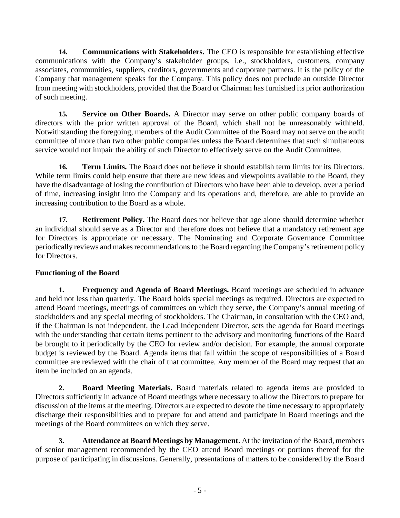**14. Communications with Stakeholders.** The CEO is responsible for establishing effective communications with the Company's stakeholder groups, i.e., stockholders, customers, company associates, communities, suppliers, creditors, governments and corporate partners. It is the policy of the Company that management speaks for the Company. This policy does not preclude an outside Director from meeting with stockholders, provided that the Board or Chairman has furnished its prior authorization of such meeting.

**15. Service on Other Boards.** A Director may serve on other public company boards of directors with the prior written approval of the Board, which shall not be unreasonably withheld. Notwithstanding the foregoing, members of the Audit Committee of the Board may not serve on the audit committee of more than two other public companies unless the Board determines that such simultaneous service would not impair the ability of such Director to effectively serve on the Audit Committee.

**16. Term Limits.** The Board does not believe it should establish term limits for its Directors. While term limits could help ensure that there are new ideas and viewpoints available to the Board, they have the disadvantage of losing the contribution of Directors who have been able to develop, over a period of time, increasing insight into the Company and its operations and, therefore, are able to provide an increasing contribution to the Board as a whole.

**17. Retirement Policy.** The Board does not believe that age alone should determine whether an individual should serve as a Director and therefore does not believe that a mandatory retirement age for Directors is appropriate or necessary. The Nominating and Corporate Governance Committee periodically reviews and makes recommendations to the Board regarding the Company's retirement policy for Directors.

# **Functioning of the Board**

**1. Frequency and Agenda of Board Meetings.** Board meetings are scheduled in advance and held not less than quarterly. The Board holds special meetings as required. Directors are expected to attend Board meetings, meetings of committees on which they serve, the Company's annual meeting of stockholders and any special meeting of stockholders. The Chairman, in consultation with the CEO and, if the Chairman is not independent, the Lead Independent Director, sets the agenda for Board meetings with the understanding that certain items pertinent to the advisory and monitoring functions of the Board be brought to it periodically by the CEO for review and/or decision. For example, the annual corporate budget is reviewed by the Board. Agenda items that fall within the scope of responsibilities of a Board committee are reviewed with the chair of that committee. Any member of the Board may request that an item be included on an agenda.

**2. Board Meeting Materials.** Board materials related to agenda items are provided to Directors sufficiently in advance of Board meetings where necessary to allow the Directors to prepare for discussion of the items at the meeting. Directors are expected to devote the time necessary to appropriately discharge their responsibilities and to prepare for and attend and participate in Board meetings and the meetings of the Board committees on which they serve.

**3. Attendance at Board Meetings by Management.** At the invitation of the Board, members of senior management recommended by the CEO attend Board meetings or portions thereof for the purpose of participating in discussions. Generally, presentations of matters to be considered by the Board